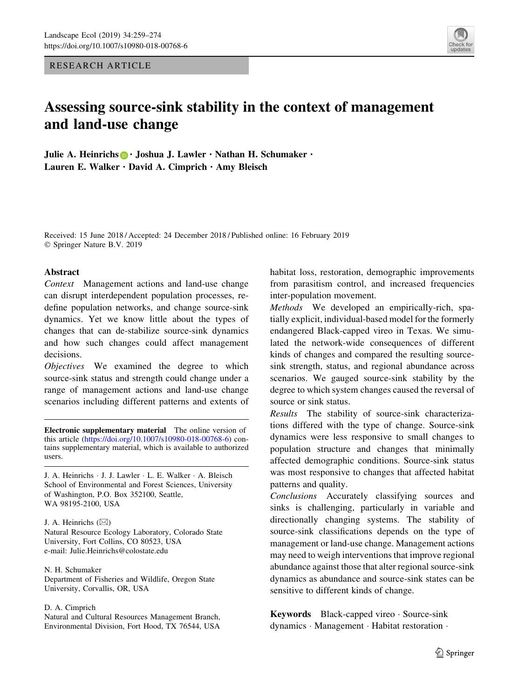RESEARCH ARTICLE



# Assessing source-sink stability in the context of management and land-use change

Julie A. Heinrichs **D** · Joshua J. Lawler · Nathan H. Schumaker · Lauren E[.](http://orcid.org/0000-0001-7733-5034) Walker · David A. Cimprich · Amy Bleisch

Received: 15 June 2018 / Accepted: 24 December 2018 / Published online: 16 February 2019 © Springer Nature B.V. 2019

## Abstract

Context Management actions and land-use change can disrupt interdependent population processes, redefine population networks, and change source-sink dynamics. Yet we know little about the types of changes that can de-stabilize source-sink dynamics and how such changes could affect management decisions.

Objectives We examined the degree to which source-sink status and strength could change under a range of management actions and land-use change scenarios including different patterns and extents of

Electronic supplementary material The online version of this article [\(https://doi.org/10.1007/s10980-018-00768-6](https://doi.org/10.1007/s10980-018-00768-6)) contains supplementary material, which is available to authorized users.

J. A. Heinrichs - J. J. Lawler - L. E. Walker - A. Bleisch School of Environmental and Forest Sciences, University of Washington, P.O. Box 352100, Seattle, WA 98195-2100, USA

J. A. Heinrichs  $(\boxtimes)$ 

Natural Resource Ecology Laboratory, Colorado State University, Fort Collins, CO 80523, USA e-mail: Julie.Heinrichs@colostate.edu

N. H. Schumaker Department of Fisheries and Wildlife, Oregon State University, Corvallis, OR, USA

#### D. A. Cimprich

Natural and Cultural Resources Management Branch, Environmental Division, Fort Hood, TX 76544, USA

habitat loss, restoration, demographic improvements from parasitism control, and increased frequencies inter-population movement.

Methods We developed an empirically-rich, spatially explicit, individual-based model for the formerly endangered Black-capped vireo in Texas. We simulated the network-wide consequences of different kinds of changes and compared the resulting sourcesink strength, status, and regional abundance across scenarios. We gauged source-sink stability by the degree to which system changes caused the reversal of source or sink status.

Results The stability of source-sink characterizations differed with the type of change. Source-sink dynamics were less responsive to small changes to population structure and changes that minimally affected demographic conditions. Source-sink status was most responsive to changes that affected habitat patterns and quality.

Conclusions Accurately classifying sources and sinks is challenging, particularly in variable and directionally changing systems. The stability of source-sink classifications depends on the type of management or land-use change. Management actions may need to weigh interventions that improve regional abundance against those that alter regional source-sink dynamics as abundance and source-sink states can be sensitive to different kinds of change.

Keywords Black-capped vireo - Source-sink dynamics - Management - Habitat restoration -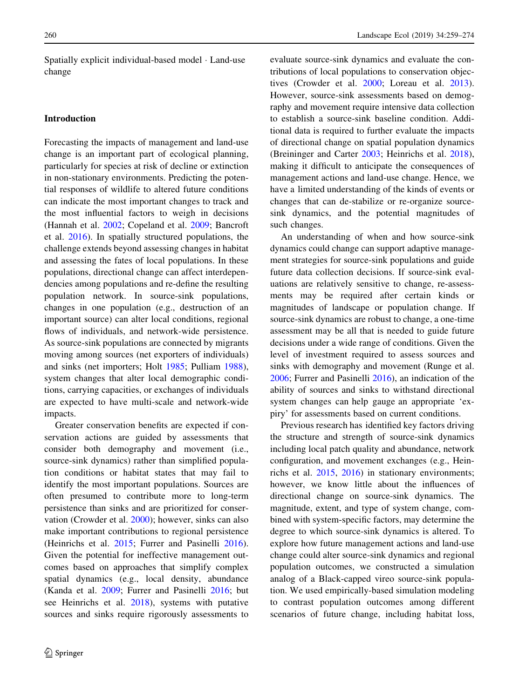Spatially explicit individual-based model - Land-use change

#### Introduction

Forecasting the impacts of management and land-use change is an important part of ecological planning, particularly for species at risk of decline or extinction in non-stationary environments. Predicting the potential responses of wildlife to altered future conditions can indicate the most important changes to track and the most influential factors to weigh in decisions (Hannah et al. [2002;](#page-15-0) Copeland et al. [2009;](#page-15-0) Bancroft et al. [2016](#page-14-0)). In spatially structured populations, the challenge extends beyond assessing changes in habitat and assessing the fates of local populations. In these populations, directional change can affect interdependencies among populations and re-define the resulting population network. In source-sink populations, changes in one population (e.g., destruction of an important source) can alter local conditions, regional flows of individuals, and network-wide persistence. As source-sink populations are connected by migrants moving among sources (net exporters of individuals) and sinks (net importers; Holt [1985;](#page-15-0) Pulliam [1988](#page-15-0)), system changes that alter local demographic conditions, carrying capacities, or exchanges of individuals are expected to have multi-scale and network-wide impacts.

Greater conservation benefits are expected if conservation actions are guided by assessments that consider both demography and movement (i.e., source-sink dynamics) rather than simplified population conditions or habitat states that may fail to identify the most important populations. Sources are often presumed to contribute more to long-term persistence than sinks and are prioritized for conservation (Crowder et al. [2000\)](#page-15-0); however, sinks can also make important contributions to regional persistence (Heinrichs et al. [2015](#page-15-0); Furrer and Pasinelli [2016](#page-15-0)). Given the potential for ineffective management outcomes based on approaches that simplify complex spatial dynamics (e.g., local density, abundance (Kanda et al. [2009;](#page-15-0) Furrer and Pasinelli [2016](#page-15-0); but see Heinrichs et al. [2018\)](#page-15-0), systems with putative sources and sinks require rigorously assessments to evaluate source-sink dynamics and evaluate the contributions of local populations to conservation objectives (Crowder et al. [2000;](#page-15-0) Loreau et al. [2013](#page-15-0)). However, source-sink assessments based on demography and movement require intensive data collection to establish a source-sink baseline condition. Additional data is required to further evaluate the impacts of directional change on spatial population dynamics (Breininger and Carter [2003](#page-15-0); Heinrichs et al. [2018](#page-15-0)), making it difficult to anticipate the consequences of management actions and land-use change. Hence, we have a limited understanding of the kinds of events or changes that can de-stabilize or re-organize sourcesink dynamics, and the potential magnitudes of such changes.

An understanding of when and how source-sink dynamics could change can support adaptive management strategies for source-sink populations and guide future data collection decisions. If source-sink evaluations are relatively sensitive to change, re-assessments may be required after certain kinds or magnitudes of landscape or population change. If source-sink dynamics are robust to change, a one-time assessment may be all that is needed to guide future decisions under a wide range of conditions. Given the level of investment required to assess sources and sinks with demography and movement (Runge et al. [2006;](#page-15-0) Furrer and Pasinelli [2016\)](#page-15-0), an indication of the ability of sources and sinks to withstand directional system changes can help gauge an appropriate 'expiry' for assessments based on current conditions.

Previous research has identified key factors driving the structure and strength of source-sink dynamics including local patch quality and abundance, network configuration, and movement exchanges (e.g., Heinrichs et al. [2015,](#page-15-0) [2016](#page-15-0)) in stationary environments; however, we know little about the influences of directional change on source-sink dynamics. The magnitude, extent, and type of system change, combined with system-specific factors, may determine the degree to which source-sink dynamics is altered. To explore how future management actions and land-use change could alter source-sink dynamics and regional population outcomes, we constructed a simulation analog of a Black-capped vireo source-sink population. We used empirically-based simulation modeling to contrast population outcomes among different scenarios of future change, including habitat loss,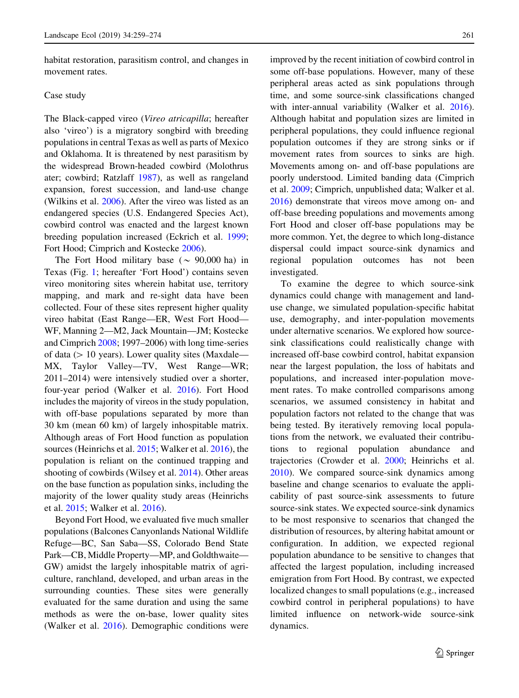habitat restoration, parasitism control, and changes in movement rates.

## Case study

The Black-capped vireo (Vireo atricapilla; hereafter also 'vireo') is a migratory songbird with breeding populations in central Texas as well as parts of Mexico and Oklahoma. It is threatened by nest parasitism by the widespread Brown-headed cowbird (Molothrus ater; cowbird; Ratzlaff [1987\)](#page-15-0), as well as rangeland expansion, forest succession, and land-use change (Wilkins et al. [2006](#page-15-0)). After the vireo was listed as an endangered species (U.S. Endangered Species Act), cowbird control was enacted and the largest known breeding population increased (Eckrich et al. [1999](#page-15-0); Fort Hood; Cimprich and Kostecke [2006\)](#page-15-0).

The Fort Hood military base ( $\sim$  90,000 ha) in Texas (Fig. [1;](#page-3-0) hereafter 'Fort Hood') contains seven vireo monitoring sites wherein habitat use, territory mapping, and mark and re-sight data have been collected. Four of these sites represent higher quality vireo habitat (East Range—ER, West Fort Hood— WF, Manning 2—M2, Jack Mountain—JM; Kostecke and Cimprich [2008](#page-15-0); 1997–2006) with long time-series of data ( $> 10$  years). Lower quality sites (Maxdale— MX, Taylor Valley—TV, West Range—WR; 2011–2014) were intensively studied over a shorter, four-year period (Walker et al. [2016\)](#page-15-0). Fort Hood includes the majority of vireos in the study population, with off-base populations separated by more than 30 km (mean 60 km) of largely inhospitable matrix. Although areas of Fort Hood function as population sources (Heinrichs et al. [2015](#page-15-0); Walker et al. [2016](#page-15-0)), the population is reliant on the continued trapping and shooting of cowbirds (Wilsey et al. [2014](#page-15-0)). Other areas on the base function as population sinks, including the majority of the lower quality study areas (Heinrichs et al. [2015](#page-15-0); Walker et al. [2016\)](#page-15-0).

Beyond Fort Hood, we evaluated five much smaller populations (Balcones Canyonlands National Wildlife Refuge—BC, San Saba—SS, Colorado Bend State Park—CB, Middle Property—MP, and Goldthwaite— GW) amidst the largely inhospitable matrix of agriculture, ranchland, developed, and urban areas in the surrounding counties. These sites were generally evaluated for the same duration and using the same methods as were the on-base, lower quality sites (Walker et al. [2016\)](#page-15-0). Demographic conditions were improved by the recent initiation of cowbird control in some off-base populations. However, many of these peripheral areas acted as sink populations through time, and some source-sink classifications changed with inter-annual variability (Walker et al. [2016](#page-15-0)). Although habitat and population sizes are limited in peripheral populations, they could influence regional population outcomes if they are strong sinks or if movement rates from sources to sinks are high. Movements among on- and off-base populations are poorly understood. Limited banding data (Cimprich et al. [2009;](#page-15-0) Cimprich, unpublished data; Walker et al. [2016\)](#page-15-0) demonstrate that vireos move among on- and off-base breeding populations and movements among Fort Hood and closer off-base populations may be more common. Yet, the degree to which long-distance dispersal could impact source-sink dynamics and regional population outcomes has not been investigated.

To examine the degree to which source-sink dynamics could change with management and landuse change, we simulated population-specific habitat use, demography, and inter-population movements under alternative scenarios. We explored how sourcesink classifications could realistically change with increased off-base cowbird control, habitat expansion near the largest population, the loss of habitats and populations, and increased inter-population movement rates. To make controlled comparisons among scenarios, we assumed consistency in habitat and population factors not related to the change that was being tested. By iteratively removing local populations from the network, we evaluated their contributions to regional population abundance and trajectories (Crowder et al. [2000;](#page-15-0) Heinrichs et al. [2010\)](#page-15-0). We compared source-sink dynamics among baseline and change scenarios to evaluate the applicability of past source-sink assessments to future source-sink states. We expected source-sink dynamics to be most responsive to scenarios that changed the distribution of resources, by altering habitat amount or configuration. In addition, we expected regional population abundance to be sensitive to changes that affected the largest population, including increased emigration from Fort Hood. By contrast, we expected localized changes to small populations (e.g., increased cowbird control in peripheral populations) to have limited influence on network-wide source-sink dynamics.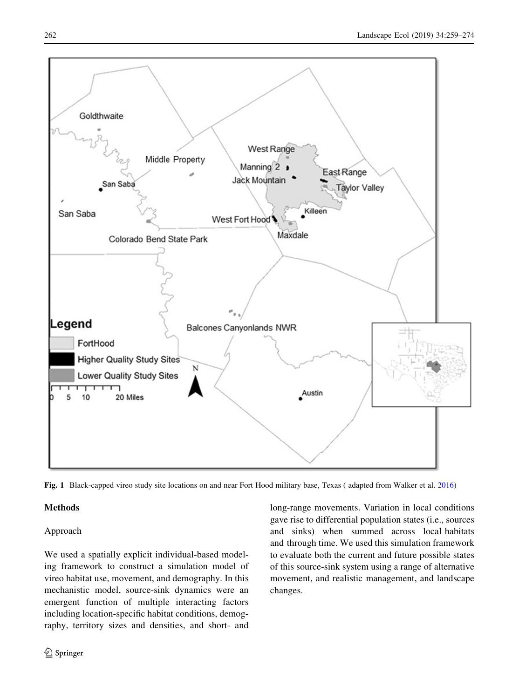<span id="page-3-0"></span>

Fig. 1 Black-capped vireo study site locations on and near Fort Hood military base, Texas ( adapted from Walker et al. [2016\)](#page-15-0)

# Methods

# Approach

We used a spatially explicit individual-based modeling framework to construct a simulation model of vireo habitat use, movement, and demography. In this mechanistic model, source-sink dynamics were an emergent function of multiple interacting factors including location-specific habitat conditions, demography, territory sizes and densities, and short- and

long-range movements. Variation in local conditions gave rise to differential population states (i.e., sources and sinks) when summed across local habitats and through time. We used this simulation framework to evaluate both the current and future possible states of this source-sink system using a range of alternative movement, and realistic management, and landscape changes.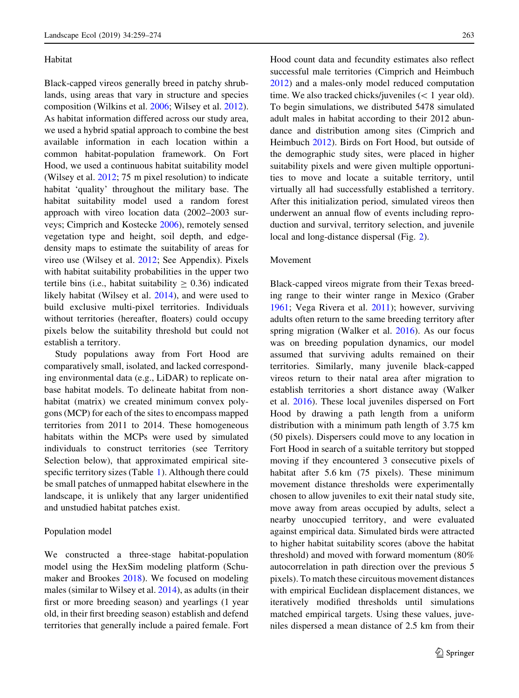#### Habitat

Black-capped vireos generally breed in patchy shrublands, using areas that vary in structure and species composition (Wilkins et al. [2006](#page-15-0); Wilsey et al. [2012](#page-15-0)). As habitat information differed across our study area, we used a hybrid spatial approach to combine the best available information in each location within a common habitat-population framework. On Fort Hood, we used a continuous habitat suitability model (Wilsey et al. [2012;](#page-15-0) 75 m pixel resolution) to indicate habitat 'quality' throughout the military base. The habitat suitability model used a random forest approach with vireo location data (2002–2003 surveys; Cimprich and Kostecke [2006\)](#page-15-0), remotely sensed vegetation type and height, soil depth, and edgedensity maps to estimate the suitability of areas for vireo use (Wilsey et al. [2012;](#page-15-0) See Appendix). Pixels with habitat suitability probabilities in the upper two tertile bins (i.e., habitat suitability  $> 0.36$ ) indicated likely habitat (Wilsey et al. [2014\)](#page-15-0), and were used to build exclusive multi-pixel territories. Individuals without territories (hereafter, floaters) could occupy pixels below the suitability threshold but could not establish a territory.

Study populations away from Fort Hood are comparatively small, isolated, and lacked corresponding environmental data (e.g., LiDAR) to replicate onbase habitat models. To delineate habitat from nonhabitat (matrix) we created minimum convex polygons (MCP) for each of the sites to encompass mapped territories from 2011 to 2014. These homogeneous habitats within the MCPs were used by simulated individuals to construct territories (see Territory Selection below), that approximated empirical site-specific territory sizes (Table [1](#page-5-0)). Although there could be small patches of unmapped habitat elsewhere in the landscape, it is unlikely that any larger unidentified and unstudied habitat patches exist.

#### Population model

We constructed a three-stage habitat-population model using the HexSim modeling platform (Schumaker and Brookes [2018\)](#page-15-0). We focused on modeling males (similar to Wilsey et al. [2014\)](#page-15-0), as adults (in their first or more breeding season) and yearlings (1 year old, in their first breeding season) establish and defend territories that generally include a paired female. Fort Hood count data and fecundity estimates also reflect successful male territories (Cimprich and Heimbuch [2012\)](#page-15-0) and a males-only model reduced computation time. We also tracked chicks/juveniles  $(< 1$  year old). To begin simulations, we distributed 5478 simulated adult males in habitat according to their 2012 abundance and distribution among sites (Cimprich and Heimbuch [2012\)](#page-15-0). Birds on Fort Hood, but outside of the demographic study sites, were placed in higher suitability pixels and were given multiple opportunities to move and locate a suitable territory, until virtually all had successfully established a territory. After this initialization period, simulated vireos then underwent an annual flow of events including reproduction and survival, territory selection, and juvenile local and long-distance dispersal (Fig. [2\)](#page-5-0).

#### Movement

Black-capped vireos migrate from their Texas breeding range to their winter range in Mexico (Graber [1961;](#page-15-0) Vega Rivera et al. [2011\)](#page-15-0); however, surviving adults often return to the same breeding territory after spring migration (Walker et al. [2016](#page-15-0)). As our focus was on breeding population dynamics, our model assumed that surviving adults remained on their territories. Similarly, many juvenile black-capped vireos return to their natal area after migration to establish territories a short distance away (Walker et al. [2016](#page-15-0)). These local juveniles dispersed on Fort Hood by drawing a path length from a uniform distribution with a minimum path length of 3.75 km (50 pixels). Dispersers could move to any location in Fort Hood in search of a suitable territory but stopped moving if they encountered 3 consecutive pixels of habitat after 5.6 km (75 pixels). These minimum movement distance thresholds were experimentally chosen to allow juveniles to exit their natal study site, move away from areas occupied by adults, select a nearby unoccupied territory, and were evaluated against empirical data. Simulated birds were attracted to higher habitat suitability scores (above the habitat threshold) and moved with forward momentum (80% autocorrelation in path direction over the previous 5 pixels). To match these circuitous movement distances with empirical Euclidean displacement distances, we iteratively modified thresholds until simulations matched empirical targets. Using these values, juveniles dispersed a mean distance of 2.5 km from their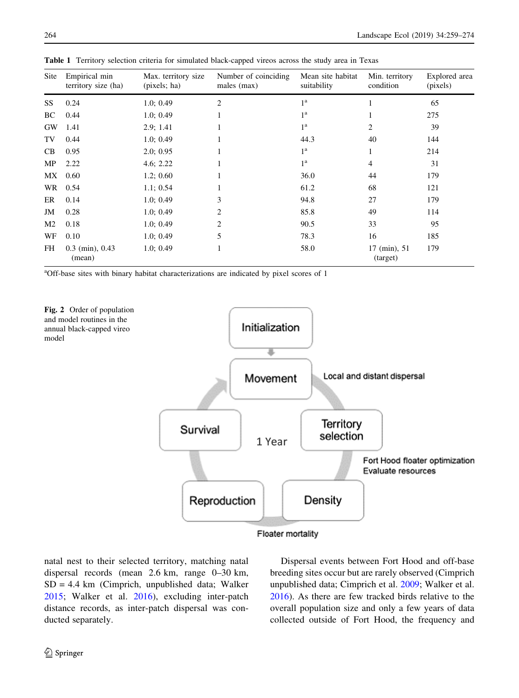model

| Site           | Empirical min<br>territory size (ha) | Max. territory size<br>(pixels; ha) | Number of coinciding<br>males (max) | Mean site habitat<br>suitability | Min. territory<br>condition | Explored area<br>(pixels) |
|----------------|--------------------------------------|-------------------------------------|-------------------------------------|----------------------------------|-----------------------------|---------------------------|
| SS             | 0.24                                 | 1.0; 0.49                           | 2                                   | $1^{\mathrm{a}}$                 |                             | 65                        |
| BC             | 0.44                                 | 1.0:0.49                            |                                     | 1 <sup>a</sup>                   |                             | 275                       |
| <b>GW</b>      | 1.41                                 | 2.9; 1.41                           |                                     | 1 <sup>a</sup>                   | 2                           | 39                        |
| TV             | 0.44                                 | 1.0; 0.49                           | 1                                   | 44.3                             | 40                          | 144                       |
| CB             | 0.95                                 | 2.0; 0.95                           |                                     | 1 <sup>a</sup>                   | 1                           | 214                       |
| MP             | 2.22                                 | 4.6; 2.22                           |                                     | 1 <sup>a</sup>                   | 4                           | 31                        |
| MX             | 0.60                                 | 1.2; 0.60                           | 1                                   | 36.0                             | 44                          | 179                       |
| <b>WR</b>      | 0.54                                 | 1.1:0.54                            | 1                                   | 61.2                             | 68                          | 121                       |
| ER             | 0.14                                 | 1.0; 0.49                           | 3                                   | 94.8                             | 27                          | 179                       |
| JM             | 0.28                                 | 1.0; 0.49                           | $\overline{2}$                      | 85.8                             | 49                          | 114                       |
| M <sub>2</sub> | 0.18                                 | 1.0:0.49                            | 2                                   | 90.5                             | 33                          | 95                        |
| WF             | 0.10                                 | 1.0; 0.49                           | 5                                   | 78.3                             | 16                          | 185                       |
| FH             | $0.3$ (min), $0.43$<br>(mean)        | 1.0; 0.49                           | 1                                   | 58.0                             | 17 (min), 51<br>(target)    | 179                       |

<span id="page-5-0"></span>Table 1 Territory selection criteria for simulated black-capped vireos across the study area in Texas

<sup>a</sup>Off-base sites with binary habitat characterizations are indicated by pixel scores of 1



Floater mortality

natal nest to their selected territory, matching natal dispersal records (mean 2.6 km, range 0–30 km, SD = 4.4 km (Cimprich, unpublished data; Walker [2015;](#page-15-0) Walker et al. [2016\)](#page-15-0), excluding inter-patch distance records, as inter-patch dispersal was conducted separately.

Dispersal events between Fort Hood and off-base breeding sites occur but are rarely observed (Cimprich unpublished data; Cimprich et al. [2009](#page-15-0); Walker et al. [2016\)](#page-15-0). As there are few tracked birds relative to the overall population size and only a few years of data collected outside of Fort Hood, the frequency and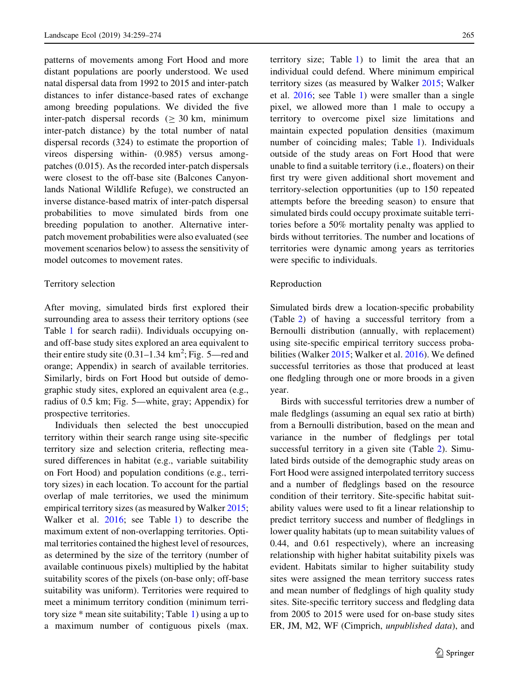patterns of movements among Fort Hood and more distant populations are poorly understood. We used natal dispersal data from 1992 to 2015 and inter-patch distances to infer distance-based rates of exchange among breeding populations. We divided the five inter-patch dispersal records ( $\geq$  30 km, minimum inter-patch distance) by the total number of natal dispersal records (324) to estimate the proportion of vireos dispersing within- (0.985) versus amongpatches (0.015). As the recorded inter-patch dispersals were closest to the off-base site (Balcones Canyonlands National Wildlife Refuge), we constructed an inverse distance-based matrix of inter-patch dispersal probabilities to move simulated birds from one breeding population to another. Alternative interpatch movement probabilities were also evaluated (see movement scenarios below) to assess the sensitivity of model outcomes to movement rates.

## Territory selection

After moving, simulated birds first explored their surrounding area to assess their territory options (see Table [1](#page-5-0) for search radii). Individuals occupying onand off-base study sites explored an area equivalent to their entire study site  $(0.31-1.34 \text{ km}^2)$ ; Fig. 5—red and orange; Appendix) in search of available territories. Similarly, birds on Fort Hood but outside of demographic study sites, explored an equivalent area (e.g., radius of 0.5 km; Fig. 5—white, gray; Appendix) for prospective territories.

Individuals then selected the best unoccupied territory within their search range using site-specific territory size and selection criteria, reflecting measured differences in habitat (e.g., variable suitability on Fort Hood) and population conditions (e.g., territory sizes) in each location. To account for the partial overlap of male territories, we used the minimum empirical territory sizes (as measured by Walker [2015](#page-15-0); Walker et al. [2016](#page-15-0); see Table [1](#page-5-0)) to describe the maximum extent of non-overlapping territories. Optimal territories contained the highest level of resources, as determined by the size of the territory (number of available continuous pixels) multiplied by the habitat suitability scores of the pixels (on-base only; off-base suitability was uniform). Territories were required to meet a minimum territory condition (minimum territory size \* mean site suitability; Table [1](#page-5-0)) using a up to a maximum number of contiguous pixels (max.

territory size; Table [1\)](#page-5-0) to limit the area that an individual could defend. Where minimum empirical territory sizes (as measured by Walker [2015;](#page-15-0) Walker et al. [2016](#page-15-0); see Table [1\)](#page-5-0) were smaller than a single pixel, we allowed more than 1 male to occupy a territory to overcome pixel size limitations and maintain expected population densities (maximum number of coinciding males; Table [1](#page-5-0)). Individuals outside of the study areas on Fort Hood that were unable to find a suitable territory (i.e., floaters) on their first try were given additional short movement and territory-selection opportunities (up to 150 repeated attempts before the breeding season) to ensure that simulated birds could occupy proximate suitable territories before a 50% mortality penalty was applied to birds without territories. The number and locations of territories were dynamic among years as territories were specific to individuals.

### Reproduction

Simulated birds drew a location-specific probability (Table [2](#page-7-0)) of having a successful territory from a Bernoulli distribution (annually, with replacement) using site-specific empirical territory success probabilities (Walker [2015](#page-15-0); Walker et al. [2016\)](#page-15-0). We defined successful territories as those that produced at least one fledgling through one or more broods in a given year.

Birds with successful territories drew a number of male fledglings (assuming an equal sex ratio at birth) from a Bernoulli distribution, based on the mean and variance in the number of fledglings per total successful territory in a given site (Table [2](#page-7-0)). Simulated birds outside of the demographic study areas on Fort Hood were assigned interpolated territory success and a number of fledglings based on the resource condition of their territory. Site-specific habitat suitability values were used to fit a linear relationship to predict territory success and number of fledglings in lower quality habitats (up to mean suitability values of 0.44, and 0.61 respectively), where an increasing relationship with higher habitat suitability pixels was evident. Habitats similar to higher suitability study sites were assigned the mean territory success rates and mean number of fledglings of high quality study sites. Site-specific territory success and fledgling data from 2005 to 2015 were used for on-base study sites ER, JM, M2, WF (Cimprich, unpublished data), and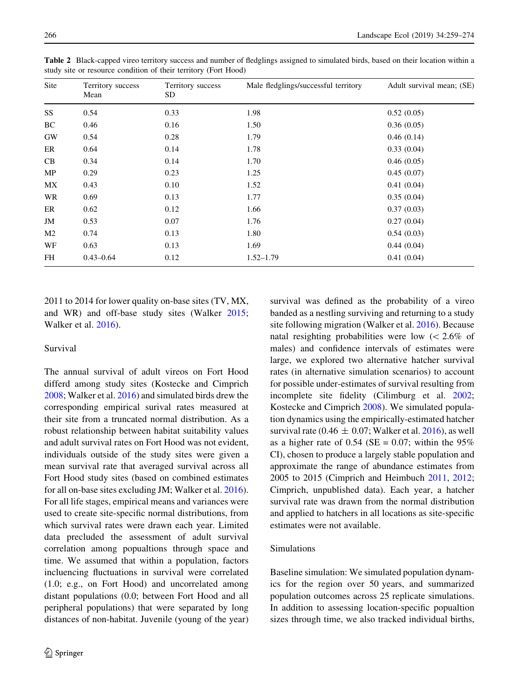| Site           | Territory success<br>Mean | Territory success<br>SD. | Male fledglings/successful territory | Adult survival mean; (SE) |
|----------------|---------------------------|--------------------------|--------------------------------------|---------------------------|
| SS             | 0.54                      | 0.33                     | 1.98                                 | 0.52(0.05)                |
| BC             | 0.46                      | 0.16                     | 1.50                                 | 0.36(0.05)                |
| <b>GW</b>      | 0.54                      | 0.28                     | 1.79                                 | 0.46(0.14)                |
| ER             | 0.64                      | 0.14                     | 1.78                                 | 0.33(0.04)                |
| CB             | 0.34                      | 0.14                     | 1.70                                 | 0.46(0.05)                |
| MP             | 0.29                      | 0.23                     | 1.25                                 | 0.45(0.07)                |
| МX             | 0.43                      | 0.10                     | 1.52                                 | 0.41(0.04)                |
| WR             | 0.69                      | 0.13                     | 1.77                                 | 0.35(0.04)                |
| ER             | 0.62                      | 0.12                     | 1.66                                 | 0.37(0.03)                |
| JM             | 0.53                      | 0.07                     | 1.76                                 | 0.27(0.04)                |
| M <sub>2</sub> | 0.74                      | 0.13                     | 1.80                                 | 0.54(0.03)                |
| WF             | 0.63                      | 0.13                     | 1.69                                 | 0.44(0.04)                |
| FH             | $0.43 - 0.64$             | 0.12                     | $1.52 - 1.79$                        | 0.41(0.04)                |

<span id="page-7-0"></span>Table 2 Black-capped vireo territory success and number of fledglings assigned to simulated birds, based on their location within a study site or resource condition of their territory (Fort Hood)

2011 to 2014 for lower quality on-base sites (TV, MX, and WR) and off-base study sites (Walker [2015](#page-15-0); Walker et al. [2016\)](#page-15-0).

## Survival

The annual survival of adult vireos on Fort Hood differd among study sites (Kostecke and Cimprich [2008;](#page-15-0) Walker et al. [2016\)](#page-15-0) and simulated birds drew the corresponding empirical surival rates measured at their site from a truncated normal distribution. As a robust relationship between habitat suitability values and adult survival rates on Fort Hood was not evident, individuals outside of the study sites were given a mean survival rate that averaged survival across all Fort Hood study sites (based on combined estimates for all on-base sites excluding JM; Walker et al. [2016](#page-15-0)). For all life stages, empirical means and variances were used to create site-specific normal distributions, from which survival rates were drawn each year. Limited data precluded the assessment of adult survival correlation among popualtions through space and time. We assumed that within a population, factors incluencing fluctuations in survival were correlated (1.0; e.g., on Fort Hood) and uncorrelated among distant populations (0.0; between Fort Hood and all peripheral populations) that were separated by long distances of non-habitat. Juvenile (young of the year) survival was defined as the probability of a vireo banded as a nestling surviving and returning to a study site following migration (Walker et al. [2016](#page-15-0)). Because natal resighting probabilities were low  $\approx 2.6\%$  of males) and confidence intervals of estimates were large, we explored two alternative hatcher survival rates (in alternative simulation scenarios) to account for possible under-estimates of survival resulting from incomplete site fidelity (Cilimburg et al. [2002](#page-15-0); Kostecke and Cimprich [2008\)](#page-15-0). We simulated population dynamics using the empirically-estimated hatcher survival rate (0.46  $\pm$  0.07; Walker et al. [2016](#page-15-0)), as well as a higher rate of 0.54 (SE =  $0.07$ ; within the 95% CI), chosen to produce a largely stable population and approximate the range of abundance estimates from 2005 to 2015 (Cimprich and Heimbuch [2011](#page-15-0), [2012](#page-15-0); Cimprich, unpublished data). Each year, a hatcher survival rate was drawn from the normal distribution and applied to hatchers in all locations as site-specific estimates were not available.

## Simulations

Baseline simulation: We simulated population dynamics for the region over 50 years, and summarized population outcomes across 25 replicate simulations. In addition to assessing location-specific popualtion sizes through time, we also tracked individual births,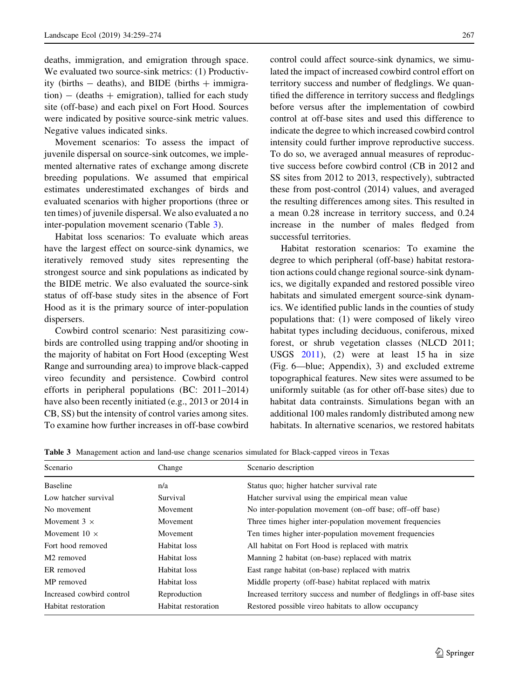deaths, immigration, and emigration through space. We evaluated two source-sink metrics: (1) Productivity (births  $-$  deaths), and BIDE (births  $+$  immigra $tion) - (deaths + emigration)$ , tallied for each study site (off-base) and each pixel on Fort Hood. Sources were indicated by positive source-sink metric values. Negative values indicated sinks.

Movement scenarios: To assess the impact of juvenile dispersal on source-sink outcomes, we implemented alternative rates of exchange among discrete breeding populations. We assumed that empirical estimates underestimated exchanges of birds and evaluated scenarios with higher proportions (three or ten times) of juvenile dispersal. We also evaluated a no inter-population movement scenario (Table 3).

Habitat loss scenarios: To evaluate which areas have the largest effect on source-sink dynamics, we iteratively removed study sites representing the strongest source and sink populations as indicated by the BIDE metric. We also evaluated the source-sink status of off-base study sites in the absence of Fort Hood as it is the primary source of inter-population dispersers.

Cowbird control scenario: Nest parasitizing cowbirds are controlled using trapping and/or shooting in the majority of habitat on Fort Hood (excepting West Range and surrounding area) to improve black-capped vireo fecundity and persistence. Cowbird control efforts in peripheral populations (BC: 2011–2014) have also been recently initiated (e.g., 2013 or 2014 in CB, SS) but the intensity of control varies among sites. To examine how further increases in off-base cowbird control could affect source-sink dynamics, we simulated the impact of increased cowbird control effort on territory success and number of fledglings. We quantified the difference in territory success and fledglings before versus after the implementation of cowbird control at off-base sites and used this difference to indicate the degree to which increased cowbird control intensity could further improve reproductive success. To do so, we averaged annual measures of reproductive success before cowbird control (CB in 2012 and SS sites from 2012 to 2013, respectively), subtracted these from post-control (2014) values, and averaged the resulting differences among sites. This resulted in a mean 0.28 increase in territory success, and 0.24 increase in the number of males fledged from successful territories.

Habitat restoration scenarios: To examine the degree to which peripheral (off-base) habitat restoration actions could change regional source-sink dynamics, we digitally expanded and restored possible vireo habitats and simulated emergent source-sink dynamics. We identified public lands in the counties of study populations that: (1) were composed of likely vireo habitat types including deciduous, coniferous, mixed forest, or shrub vegetation classes (NLCD 2011; USGS [2011\)](#page-15-0), (2) were at least 15 ha in size (Fig. 6—blue; Appendix), 3) and excluded extreme topographical features. New sites were assumed to be uniformly suitable (as for other off-base sites) due to habitat data contrainsts. Simulations began with an additional 100 males randomly distributed among new habitats. In alternative scenarios, we restored habitats

Table 3 Management action and land-use change scenarios simulated for Black-capped vireos in Texas

| Scenario                  | Change              | Scenario description                                                   |
|---------------------------|---------------------|------------------------------------------------------------------------|
| <b>Baseline</b>           | n/a                 | Status quo; higher hatcher survival rate                               |
| Low hatcher survival      | Survival            | Hatcher survival using the empirical mean value                        |
| No movement               | Movement            | No inter-population movement (on–off base; off–off base)               |
| Movement $3 \times$       | <b>Movement</b>     | Three times higher inter-population movement frequencies               |
| Movement $10 \times$      | Movement            | Ten times higher inter-population movement frequencies                 |
| Fort hood removed         | Habitat loss        | All habitat on Fort Hood is replaced with matrix                       |
| M <sub>2</sub> removed    | Habitat loss        | Manning 2 habitat (on-base) replaced with matrix                       |
| ER removed                | Habitat loss        | East range habitat (on-base) replaced with matrix                      |
| MP removed                | Habitat loss        | Middle property (off-base) habitat replaced with matrix                |
| Increased cowbird control | Reproduction        | Increased territory success and number of fledglings in off-base sites |
| Habitat restoration       | Habitat restoration | Restored possible vireo habitats to allow occupancy                    |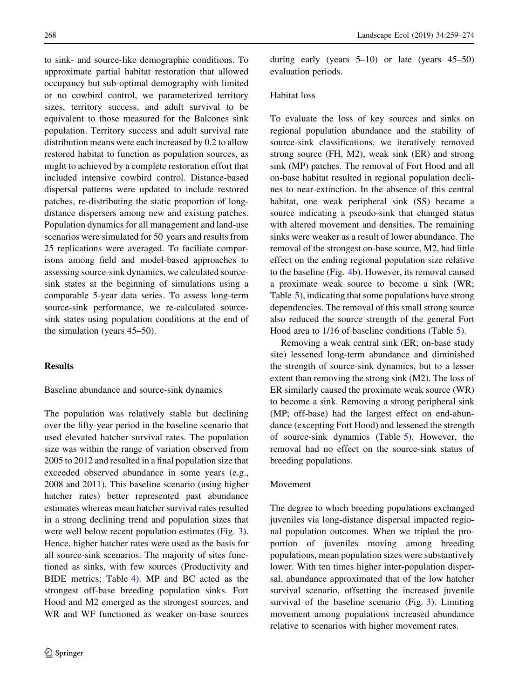to sink- and source-like demographic conditions. To approximate partial habitat restoration that allowed occupancy but sub-optimal demography with limited or no cowbird control, we parameterized territory sizes, territory success, and adult survival to be equivalent to those measured for the Balcones sink population. Territory success and adult survival rate distribution means were each increased by 0.2 to allow restored habitat to function as population sources, as might to achieved by a complete restoration effort that included intensive cowbird control. Distance-based dispersal patterns were updated to include restored patches, re-distributing the static proportion of longdistance dispersers among new and existing patches. Population dynamics for all management and land-use scenarios were simulated for 50 years and results from 25 replications were averaged. To faciliate comparisons among field and model-based approaches to assessing source-sink dynamics, we calculated sourcesink states at the beginning of simulations using a comparable 5-year data series. To assess long-term source-sink performance, we re-calculated sourcesink states using population conditions at the end of the simulation (years 45–50).

## Results

Baseline abundance and source-sink dynamics

The population was relatively stable but declining over the fifty-year period in the baseline scenario that used elevated hatcher survival rates. The population size was within the range of variation observed from 2005 to 2012 and resulted in a final population size that exceeded observed abundance in some years (e.g., 2008 and 2011). This baseline scenario (using higher hatcher rates) better represented past abundance estimates whereas mean hatcher survival rates resulted in a strong declining trend and population sizes that were well below recent population estimates (Fig. [3](#page-10-0)). Hence, higher hatcher rates were used as the basis for all source-sink scenarios. The majority of sites functioned as sinks, with few sources (Productivity and BIDE metrics; Table [4](#page-10-0)). MP and BC acted as the strongest off-base breeding population sinks. Fort Hood and M2 emerged as the strongest sources, and WR and WF functioned as weaker on-base sources during early (years 5–10) or late (years 45–50) evaluation periods.

## Habitat loss

To evaluate the loss of key sources and sinks on regional population abundance and the stability of source-sink classifications, we iteratively removed strong source (FH, M2), weak sink (ER) and strong sink (MP) patches. The removal of Fort Hood and all on-base habitat resulted in regional population declines to near-extinction. In the absence of this central habitat, one weak peripheral sink (SS) became a source indicating a pseudo-sink that changed status with altered movement and densities. The remaining sinks were weaker as a result of lower abundance. The removal of the strongest on-base source, M2, had little effect on the ending regional population size relative to the baseline (Fig. [4b](#page-11-0)). However, its removal caused a proximate weak source to become a sink (WR; Table [5](#page-11-0)), indicating that some populations have strong dependencies. The removal of this small strong source also reduced the source strength of the general Fort Hood area to 1/16 of baseline conditions (Table [5](#page-11-0)).

Removing a weak central sink (ER; on-base study site) lessened long-term abundance and diminished the strength of source-sink dynamics, but to a lesser extent than removing the strong sink (M2). The loss of ER similarly caused the proximate weak source (WR) to become a sink. Removing a strong peripheral sink (MP; off-base) had the largest effect on end-abundance (excepting Fort Hood) and lessened the strength of source-sink dynamics (Table [5\)](#page-11-0). However, the removal had no effect on the source-sink status of breeding populations.

## Movement

The degree to which breeding populations exchanged juveniles via long-distance dispersal impacted regional population outcomes. When we tripled the proportion of juveniles moving among breeding populations, mean population sizes were substantively lower. With ten times higher inter-population dispersal, abundance approximated that of the low hatcher survival scenario, offsetting the increased juvenile survival of the baseline scenario (Fig. [3\)](#page-10-0). Limiting movement among populations increased abundance relative to scenarios with higher movement rates.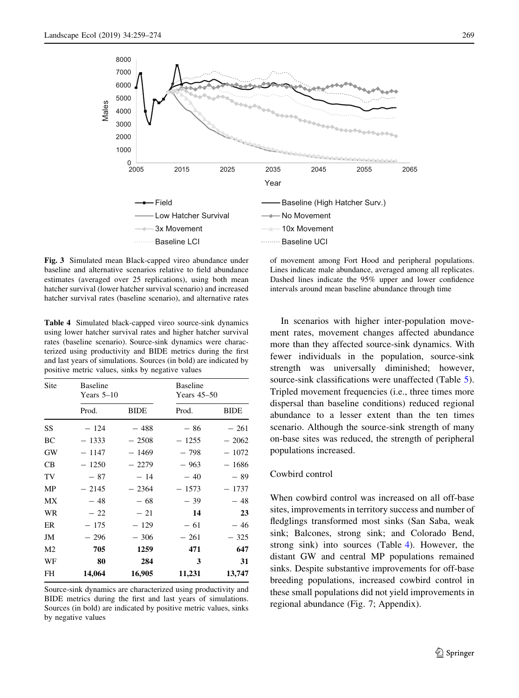<span id="page-10-0"></span>

Fig. 3 Simulated mean Black-capped vireo abundance under baseline and alternative scenarios relative to field abundance estimates (averaged over 25 replications), using both mean hatcher survival (lower hatcher survival scenario) and increased hatcher survival rates (baseline scenario), and alternative rates

Table 4 Simulated black-capped vireo source-sink dynamics using lower hatcher survival rates and higher hatcher survival rates (baseline scenario). Source-sink dynamics were characterized using productivity and BIDE metrics during the first and last years of simulations. Sources (in bold) are indicated by positive metric values, sinks by negative values

| Site           | <b>Baseline</b><br>Years $5-10$ |         | <b>Baseline</b><br>Years $45-50$ |             |  |
|----------------|---------------------------------|---------|----------------------------------|-------------|--|
|                | Prod.                           | BIDE    | Prod.                            | <b>BIDE</b> |  |
| SS             | $-124$                          | $-488$  | $-86$                            | $-261$      |  |
| BC             | $-1333$                         | $-2508$ | $-1255$                          | $-2062$     |  |
| GW             | $-1147$                         | $-1469$ | $-798$                           | $-1072$     |  |
| CB             | $-1250$                         | $-2279$ | $-963$                           | $-1686$     |  |
| TV             | $-87$                           | $-14$   | $-40$                            | - 89        |  |
| MP             | $-2145$                         | $-2364$ | $-1573$                          | 1737        |  |
| МX             | $-48$                           | $-68$   | $-39$                            | $-48$       |  |
| WR             | $-22$                           | $-21$   | 14                               | 23          |  |
| ER             | $-175$                          | $-129$  | $-61$                            | $-46$       |  |
| JM             | $-296$                          | $-306$  | $-261$                           | $-325$      |  |
| M <sub>2</sub> | 705                             | 1259    | 471                              | 647         |  |
| WF             | 80                              | 284     | 3                                | 31          |  |
| FH             | 14,064                          | 16,905  | 11,231                           | 13,747      |  |

Source-sink dynamics are characterized using productivity and BIDE metrics during the first and last years of simulations. Sources (in bold) are indicated by positive metric values, sinks by negative values

of movement among Fort Hood and peripheral populations. Lines indicate male abundance, averaged among all replicates. Dashed lines indicate the 95% upper and lower confidence intervals around mean baseline abundance through time

In scenarios with higher inter-population movement rates, movement changes affected abundance more than they affected source-sink dynamics. With fewer individuals in the population, source-sink strength was universally diminished; however, source-sink classifications were unaffected (Table [5](#page-11-0)). Tripled movement frequencies (i.e., three times more dispersal than baseline conditions) reduced regional abundance to a lesser extent than the ten times scenario. Although the source-sink strength of many on-base sites was reduced, the strength of peripheral populations increased.

## Cowbird control

When cowbird control was increased on all off-base sites, improvements in territory success and number of fledglings transformed most sinks (San Saba, weak sink; Balcones, strong sink; and Colorado Bend, strong sink) into sources (Table 4). However, the distant GW and central MP populations remained sinks. Despite substantive improvements for off-base breeding populations, increased cowbird control in these small populations did not yield improvements in regional abundance (Fig. 7; Appendix).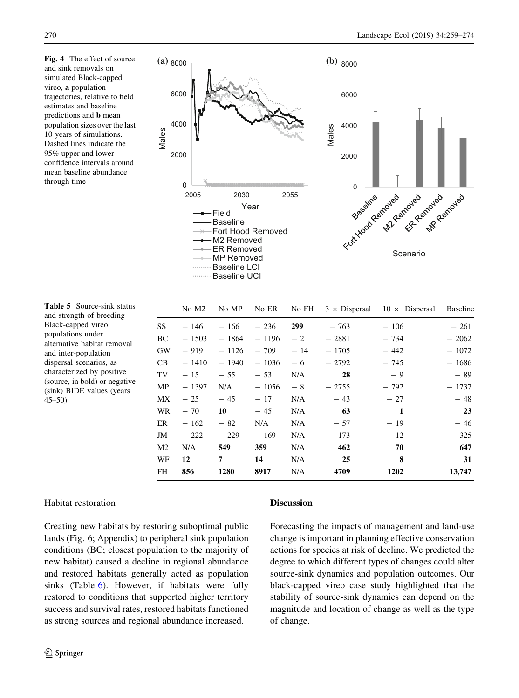<span id="page-11-0"></span>Fig. 4 The effect of source and sink removals on simulated Black-capped vireo, a population trajectories, relative to field estimates and baseline predictions and b mean population sizes over the last 10 years of simulations. Dashed lines indicate the 95% upper and lower confidence intervals around mean baseline abundance through time



Table 5 Source-sink status and strength of breeding Black-capped vireo populations under alternative habitat removal and inter-population dispersal scenarios, as characterized by positive (source, in bold) or negative (sink) BIDE values (years 45–50)

|    | No M <sub>2</sub> | No MP   | No ER   | No FH | $3 \times$ Dispersal | $10 \times$ Dispersal | <b>Baseline</b> |
|----|-------------------|---------|---------|-------|----------------------|-----------------------|-----------------|
| SS | $-146$            | $-166$  | $-236$  | 299   | $-763$               | $-106$                | $-261$          |
| ВC | $-1503$           | $-1864$ | $-1196$ | $-2$  | $-2881$              | $-734$                | $-2062$         |
| GW | $-919$            | $-1126$ | $-709$  | $-14$ | $-1705$              | $-442$                | $-1072$         |
| CВ | $-1410$           | $-1940$ | $-1036$ | - 6   | $-2792$              | $-745$                | $-1686$         |
| TV | $-15$             | $-55$   | $-53$   | N/A   | 28                   | $-9$                  | $-89$           |
| MP | $-1397$           | N/A     | $-1056$ | - 8   | $-2755$              | $-792$                | $-1737$         |
| МX | $-25$             | $-45$   | $-17$   | N/A   | $-43$                | $-27$                 | $-48$           |
| WR | $-70$             | 10      | $-45$   | N/A   | 63                   | $\mathbf{1}$          | 23              |
| ER | $-162$            | $-82$   | N/A     | N/A   | $-57$                | $-19$                 | $-46$           |
| JM | $-222$            | $-229$  | $-169$  | N/A   | $-173$               | $-12$                 | $-325$          |
| М2 | N/A               | 549     | 359     | N/A   | 462                  | 70                    | 647             |
| WF | 12                | 7       | 14      | N/A   | 25                   | 8                     | 31              |
| FH | 856               | 1280    | 8917    | N/A   | 4709                 | 1202                  | 13,747          |
|    |                   |         |         |       |                      |                       |                 |

## Habitat restoration

Creating new habitats by restoring suboptimal public lands (Fig. 6; Appendix) to peripheral sink population conditions (BC; closest population to the majority of new habitat) caused a decline in regional abundance and restored habitats generally acted as population sinks (Table [6](#page-12-0)). However, if habitats were fully restored to conditions that supported higher territory success and survival rates, restored habitats functioned as strong sources and regional abundance increased.

## **Discussion**

Forecasting the impacts of management and land-use change is important in planning effective conservation actions for species at risk of decline. We predicted the degree to which different types of changes could alter source-sink dynamics and population outcomes. Our black-capped vireo case study highlighted that the stability of source-sink dynamics can depend on the magnitude and location of change as well as the type of change.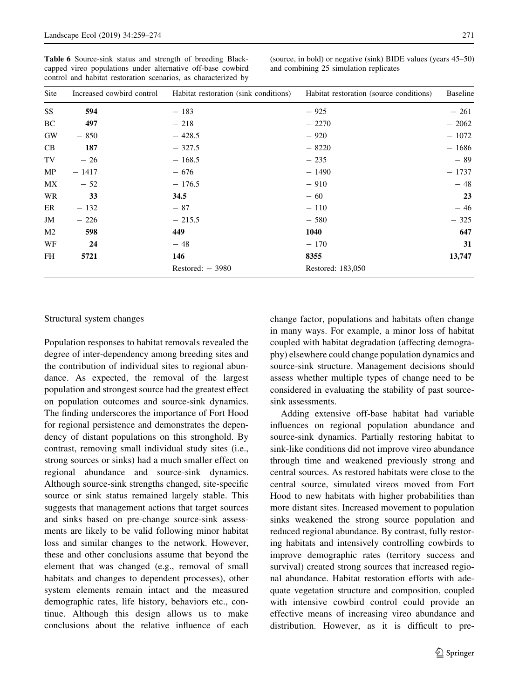<span id="page-12-0"></span>Table 6 Source-sink status and strength of breeding Blackcapped vireo populations under alternative off-base cowbird control and habitat restoration scenarios, as characterized by

(source, in bold) or negative (sink) BIDE values (years 45–50) and combining 25 simulation replicates

| Site           | Increased cowbird control | Habitat restoration (sink conditions) | Habitat restoration (source conditions) | <b>Baseline</b> |
|----------------|---------------------------|---------------------------------------|-----------------------------------------|-----------------|
| SS             | 594                       | $-183$                                | $-925$                                  | $-261$          |
| BC             | 497                       | $-218$                                | $-2270$                                 | $-2062$         |
| <b>GW</b>      | $-850$                    | $-428.5$                              | $-920$                                  | $-1072$         |
| <b>CB</b>      | 187                       | $-327.5$                              | $-8220$                                 | $-1686$         |
| TV             | $-26$                     | $-168.5$                              | $-235$                                  | $-89$           |
| MP             | $-1417$                   | $-676$                                | $-1490$                                 | $-1737$         |
| МX             | $-52$                     | $-176.5$                              | $-910$                                  | $-48$           |
| <b>WR</b>      | 33                        | 34.5                                  | $-60$                                   | 23              |
| ER             | $-132$                    | $-87$                                 | $-110$                                  | $-46$           |
| JM             | $-226$                    | $-215.5$                              | $-580$                                  | $-325$          |
| M <sub>2</sub> | 598                       | 449                                   | 1040                                    | 647             |
| WF             | 24                        | $-48$                                 | $-170$                                  | 31              |
| FH             | 5721                      | 146                                   | 8355                                    | 13,747          |
|                |                           | Restored: $-3980$                     | Restored: 183,050                       |                 |

## Structural system changes

Population responses to habitat removals revealed the degree of inter-dependency among breeding sites and the contribution of individual sites to regional abundance. As expected, the removal of the largest population and strongest source had the greatest effect on population outcomes and source-sink dynamics. The finding underscores the importance of Fort Hood for regional persistence and demonstrates the dependency of distant populations on this stronghold. By contrast, removing small individual study sites (i.e., strong sources or sinks) had a much smaller effect on regional abundance and source-sink dynamics. Although source-sink strengths changed, site-specific source or sink status remained largely stable. This suggests that management actions that target sources and sinks based on pre-change source-sink assessments are likely to be valid following minor habitat loss and similar changes to the network. However, these and other conclusions assume that beyond the element that was changed (e.g., removal of small habitats and changes to dependent processes), other system elements remain intact and the measured demographic rates, life history, behaviors etc., continue. Although this design allows us to make conclusions about the relative influence of each

change factor, populations and habitats often change in many ways. For example, a minor loss of habitat coupled with habitat degradation (affecting demography) elsewhere could change population dynamics and source-sink structure. Management decisions should assess whether multiple types of change need to be considered in evaluating the stability of past sourcesink assessments.

Adding extensive off-base habitat had variable influences on regional population abundance and source-sink dynamics. Partially restoring habitat to sink-like conditions did not improve vireo abundance through time and weakened previously strong and central sources. As restored habitats were close to the central source, simulated vireos moved from Fort Hood to new habitats with higher probabilities than more distant sites. Increased movement to population sinks weakened the strong source population and reduced regional abundance. By contrast, fully restoring habitats and intensively controlling cowbirds to improve demographic rates (territory success and survival) created strong sources that increased regional abundance. Habitat restoration efforts with adequate vegetation structure and composition, coupled with intensive cowbird control could provide an effective means of increasing vireo abundance and distribution. However, as it is difficult to pre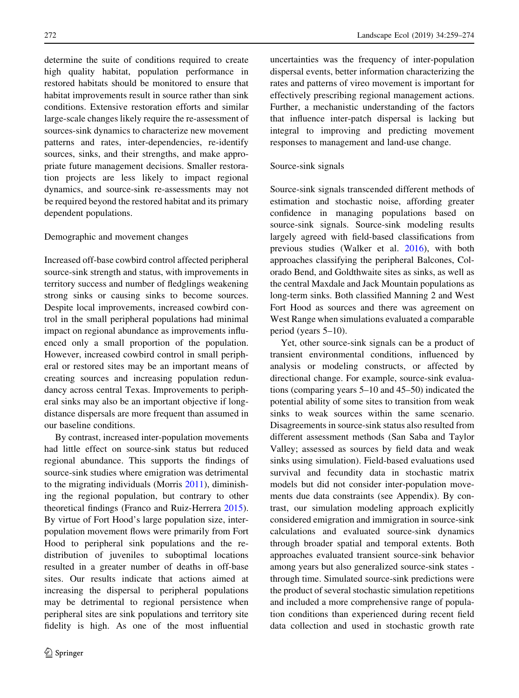determine the suite of conditions required to create high quality habitat, population performance in restored habitats should be monitored to ensure that habitat improvements result in source rather than sink conditions. Extensive restoration efforts and similar large-scale changes likely require the re-assessment of sources-sink dynamics to characterize new movement patterns and rates, inter-dependencies, re-identify sources, sinks, and their strengths, and make appropriate future management decisions. Smaller restoration projects are less likely to impact regional dynamics, and source-sink re-assessments may not be required beyond the restored habitat and its primary dependent populations.

## Demographic and movement changes

Increased off-base cowbird control affected peripheral source-sink strength and status, with improvements in territory success and number of fledglings weakening strong sinks or causing sinks to become sources. Despite local improvements, increased cowbird control in the small peripheral populations had minimal impact on regional abundance as improvements influenced only a small proportion of the population. However, increased cowbird control in small peripheral or restored sites may be an important means of creating sources and increasing population redundancy across central Texas. Improvements to peripheral sinks may also be an important objective if longdistance dispersals are more frequent than assumed in our baseline conditions.

By contrast, increased inter-population movements had little effect on source-sink status but reduced regional abundance. This supports the findings of source-sink studies where emigration was detrimental to the migrating individuals (Morris [2011](#page-15-0)), diminishing the regional population, but contrary to other theoretical findings (Franco and Ruiz-Herrera [2015](#page-15-0)). By virtue of Fort Hood's large population size, interpopulation movement flows were primarily from Fort Hood to peripheral sink populations and the redistribution of juveniles to suboptimal locations resulted in a greater number of deaths in off-base sites. Our results indicate that actions aimed at increasing the dispersal to peripheral populations may be detrimental to regional persistence when peripheral sites are sink populations and territory site fidelity is high. As one of the most influential

uncertainties was the frequency of inter-population dispersal events, better information characterizing the rates and patterns of vireo movement is important for effectively prescribing regional management actions. Further, a mechanistic understanding of the factors that influence inter-patch dispersal is lacking but integral to improving and predicting movement responses to management and land-use change.

## Source-sink signals

Source-sink signals transcended different methods of estimation and stochastic noise, affording greater confidence in managing populations based on source-sink signals. Source-sink modeling results largely agreed with field-based classifications from previous studies (Walker et al. [2016\)](#page-15-0), with both approaches classifying the peripheral Balcones, Colorado Bend, and Goldthwaite sites as sinks, as well as the central Maxdale and Jack Mountain populations as long-term sinks. Both classified Manning 2 and West Fort Hood as sources and there was agreement on West Range when simulations evaluated a comparable period (years 5–10).

Yet, other source-sink signals can be a product of transient environmental conditions, influenced by analysis or modeling constructs, or affected by directional change. For example, source-sink evaluations (comparing years 5–10 and 45–50) indicated the potential ability of some sites to transition from weak sinks to weak sources within the same scenario. Disagreements in source-sink status also resulted from different assessment methods (San Saba and Taylor Valley; assessed as sources by field data and weak sinks using simulation). Field-based evaluations used survival and fecundity data in stochastic matrix models but did not consider inter-population movements due data constraints (see Appendix). By contrast, our simulation modeling approach explicitly considered emigration and immigration in source-sink calculations and evaluated source-sink dynamics through broader spatial and temporal extents. Both approaches evaluated transient source-sink behavior among years but also generalized source-sink states through time. Simulated source-sink predictions were the product of several stochastic simulation repetitions and included a more comprehensive range of population conditions than experienced during recent field data collection and used in stochastic growth rate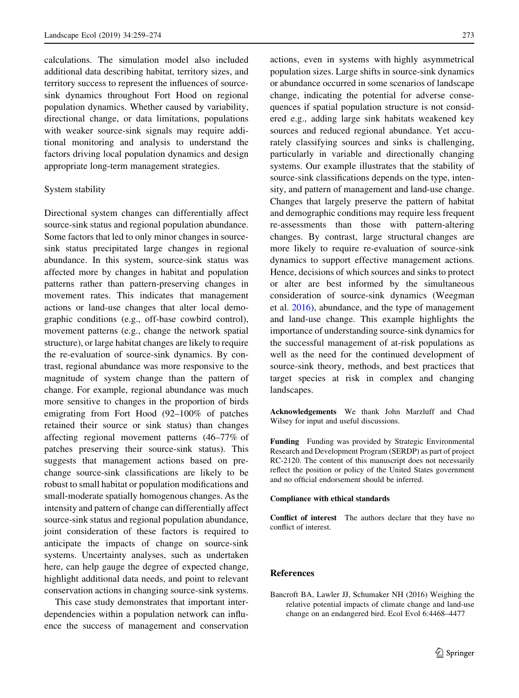<span id="page-14-0"></span>calculations. The simulation model also included additional data describing habitat, territory sizes, and territory success to represent the influences of sourcesink dynamics throughout Fort Hood on regional population dynamics. Whether caused by variability, directional change, or data limitations, populations with weaker source-sink signals may require additional monitoring and analysis to understand the factors driving local population dynamics and design appropriate long-term management strategies.

### System stability

Directional system changes can differentially affect source-sink status and regional population abundance. Some factors that led to only minor changes in sourcesink status precipitated large changes in regional abundance. In this system, source-sink status was affected more by changes in habitat and population patterns rather than pattern-preserving changes in movement rates. This indicates that management actions or land-use changes that alter local demographic conditions (e.g., off-base cowbird control), movement patterns (e.g., change the network spatial structure), or large habitat changes are likely to require the re-evaluation of source-sink dynamics. By contrast, regional abundance was more responsive to the magnitude of system change than the pattern of change. For example, regional abundance was much more sensitive to changes in the proportion of birds emigrating from Fort Hood (92–100% of patches retained their source or sink status) than changes affecting regional movement patterns (46–77% of patches preserving their source-sink status). This suggests that management actions based on prechange source-sink classifications are likely to be robust to small habitat or population modifications and small-moderate spatially homogenous changes. As the intensity and pattern of change can differentially affect source-sink status and regional population abundance, joint consideration of these factors is required to anticipate the impacts of change on source-sink systems. Uncertainty analyses, such as undertaken here, can help gauge the degree of expected change, highlight additional data needs, and point to relevant conservation actions in changing source-sink systems.

This case study demonstrates that important interdependencies within a population network can influence the success of management and conservation actions, even in systems with highly asymmetrical population sizes. Large shifts in source-sink dynamics or abundance occurred in some scenarios of landscape change, indicating the potential for adverse consequences if spatial population structure is not considered e.g., adding large sink habitats weakened key sources and reduced regional abundance. Yet accurately classifying sources and sinks is challenging, particularly in variable and directionally changing systems. Our example illustrates that the stability of source-sink classifications depends on the type, intensity, and pattern of management and land-use change. Changes that largely preserve the pattern of habitat and demographic conditions may require less frequent re-assessments than those with pattern-altering changes. By contrast, large structural changes are more likely to require re-evaluation of source-sink dynamics to support effective management actions. Hence, decisions of which sources and sinks to protect or alter are best informed by the simultaneous consideration of source-sink dynamics (Weegman et al. [2016\)](#page-15-0), abundance, and the type of management and land-use change. This example highlights the importance of understanding source-sink dynamics for the successful management of at-risk populations as well as the need for the continued development of source-sink theory, methods, and best practices that target species at risk in complex and changing landscapes.

Acknowledgements We thank John Marzluff and Chad Wilsey for input and useful discussions.

Funding Funding was provided by Strategic Environmental Research and Development Program (SERDP) as part of project RC-2120. The content of this manuscript does not necessarily reflect the position or policy of the United States government and no official endorsement should be inferred.

#### Compliance with ethical standards

Conflict of interest The authors declare that they have no conflict of interest.

## References

Bancroft BA, Lawler JJ, Schumaker NH (2016) Weighing the relative potential impacts of climate change and land-use change on an endangered bird. Ecol Evol 6:4468–4477